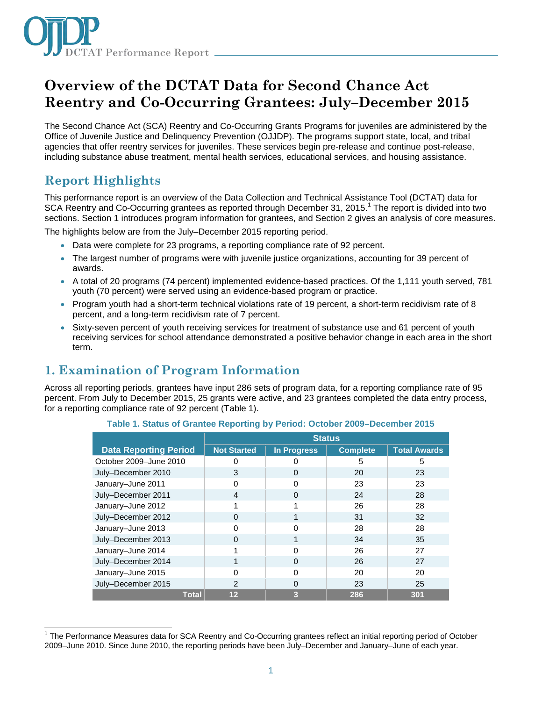

# **Overview of the DCTAT Data for Second Chance Act Reentry and Co-Occurring Grantees: July–December 2015**

The Second Chance Act (SCA) Reentry and Co-Occurring Grants Programs for juveniles are administered by the Office of Juvenile Justice and Delinquency Prevention (OJJDP). The programs support state, local, and tribal agencies that offer reentry services for juveniles. These services begin pre-release and continue post-release, including substance abuse treatment, mental health services, educational services, and housing assistance.

## **Report Highlights**

j

This performance report is an overview of the Data Collection and Technical Assistance Tool (DCTAT) data for SCA Reentry and Co-Occurring grantees as reported through December 31, 2015.<sup>1</sup> The report is divided into two sections. Section 1 introduces program information for grantees, and Section 2 gives an analysis of core measures.

The highlights below are from the July–December 2015 reporting period.

- Data were complete for 23 programs, a reporting compliance rate of 92 percent.
- The largest number of programs were with juvenile justice organizations, accounting for 39 percent of awards.
- A total of 20 programs (74 percent) implemented evidence-based practices. Of the 1,111 youth served, 781 youth (70 percent) were served using an evidence-based program or practice.
- Program youth had a short-term technical violations rate of 19 percent, a short-term recidivism rate of 8 percent, and a long-term recidivism rate of 7 percent.
- Sixty-seven percent of youth receiving services for treatment of substance use and 61 percent of youth receiving services for school attendance demonstrated a positive behavior change in each area in the short term.

## **1. Examination of Program Information**

Across all reporting periods, grantees have input 286 sets of program data, for a reporting compliance rate of 95 percent. From July to December 2015, 25 grants were active, and 23 grantees completed the data entry process, for a reporting compliance rate of 92 percent (Table 1).

|                              | <b>Status</b>      |                    |                 |                     |
|------------------------------|--------------------|--------------------|-----------------|---------------------|
| <b>Data Reporting Period</b> | <b>Not Started</b> | <b>In Progress</b> | <b>Complete</b> | <b>Total Awards</b> |
| October 2009-June 2010       |                    |                    | 5               | 5                   |
| July-December 2010           | 3                  | $\Omega$           | 20              | 23                  |
| January-June 2011            | ∩                  |                    | 23              | 23                  |
| July-December 2011           | 4                  | $\Omega$           | 24              | 28                  |
| January-June 2012            |                    |                    | 26              | 28                  |
| July-December 2012           | $\Omega$           |                    | 31              | 32                  |
| January-June 2013            |                    |                    | 28              | 28                  |
| July-December 2013           | O                  |                    | 34              | 35                  |
| January-June 2014            |                    | ∩                  | 26              | 27                  |
| July-December 2014           |                    | 0                  | 26              | 27                  |
| January-June 2015            | ∩                  | ∩                  | 20              | 20                  |
| July-December 2015           | 2                  |                    | 23              | 25                  |
| <b>Total</b>                 | 12                 | 3                  | 286             | 301                 |

**Table 1. Status of Grantee Reporting by Period: October 2009–December 2015**

<sup>1</sup> The Performance Measures data for SCA Reentry and Co-Occurring grantees reflect an initial reporting period of October 2009–June 2010. Since June 2010, the reporting periods have been July–December and January–June of each year.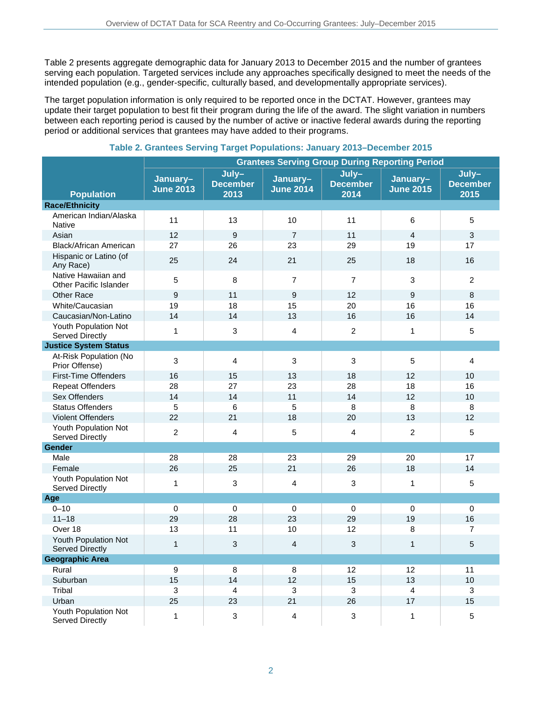Table 2 presents aggregate demographic data for January 2013 to December 2015 and the number of grantees serving each population. Targeted services include any approaches specifically designed to meet the needs of the intended population (e.g., gender-specific, culturally based, and developmentally appropriate services).

The target population information is only required to be reported once in the DCTAT. However, grantees may update their target population to best fit their program during the life of the award. The slight variation in numbers between each reporting period is caused by the number of active or inactive federal awards during the reporting period or additional services that grantees may have added to their programs.

|                                                | <b>Grantees Serving Group During Reporting Period</b> |                                  |                              |                                  |                              |                                  |
|------------------------------------------------|-------------------------------------------------------|----------------------------------|------------------------------|----------------------------------|------------------------------|----------------------------------|
| <b>Population</b>                              | January-<br><b>June 2013</b>                          | July-<br><b>December</b><br>2013 | January-<br><b>June 2014</b> | July-<br><b>December</b><br>2014 | January-<br><b>June 2015</b> | July-<br><b>December</b><br>2015 |
| <b>Race/Ethnicity</b>                          |                                                       |                                  |                              |                                  |                              |                                  |
| American Indian/Alaska<br><b>Native</b>        | 11                                                    | 13                               | 10                           | 11                               | 6                            | 5                                |
| Asian                                          | 12                                                    | 9                                | $\overline{7}$               | 11                               | 4                            | $\mathbf{3}$                     |
| Black/African American                         | 27                                                    | 26                               | 23                           | 29                               | 19                           | 17                               |
| Hispanic or Latino (of<br>Any Race)            | 25                                                    | 24                               | 21                           | 25                               | 18                           | 16                               |
| Native Hawaiian and<br>Other Pacific Islander  | 5                                                     | 8                                | $\overline{7}$               | $\overline{7}$                   | 3                            | $\overline{c}$                   |
| <b>Other Race</b>                              | 9                                                     | 11                               | 9                            | 12                               | 9                            | $\,8\,$                          |
| White/Caucasian                                | 19                                                    | 18                               | 15                           | 20                               | 16                           | 16                               |
| Caucasian/Non-Latino                           | 14                                                    | 14                               | 13                           | 16                               | 16                           | 14                               |
| Youth Population Not<br>Served Directly        | $\mathbf{1}$                                          | 3                                | 4                            | $\overline{c}$                   | 1                            | 5                                |
| <b>Justice System Status</b>                   |                                                       |                                  |                              |                                  |                              |                                  |
| At-Risk Population (No<br>Prior Offense)       | 3                                                     | 4                                | 3                            | 3                                | 5                            | $\overline{4}$                   |
| <b>First-Time Offenders</b>                    | 16                                                    | 15                               | 13                           | 18                               | 12                           | 10                               |
| <b>Repeat Offenders</b>                        | 28                                                    | 27                               | 23                           | 28                               | 18                           | 16                               |
| Sex Offenders                                  | 14                                                    | 14                               | 11                           | 14                               | 12                           | 10                               |
| <b>Status Offenders</b>                        | 5                                                     | 6                                | 5                            | 8                                | 8                            | 8                                |
| <b>Violent Offenders</b>                       | 22                                                    | 21                               | 18                           | 20                               | 13                           | 12                               |
| Youth Population Not<br>Served Directly        | 2                                                     | 4                                | 5                            | $\overline{4}$                   | $\overline{c}$               | 5                                |
| Gender                                         |                                                       |                                  |                              |                                  |                              |                                  |
| Male                                           | 28                                                    | 28                               | 23                           | 29                               | 20                           | 17                               |
| Female                                         | 26                                                    | 25                               | 21                           | 26                               | 18                           | 14                               |
| Youth Population Not<br>Served Directly        | $\mathbf{1}$                                          | 3                                | 4                            | $\mathbf{3}$                     | 1                            | 5                                |
| Age                                            |                                                       |                                  |                              |                                  |                              |                                  |
| $0 - 10$                                       | 0                                                     | $\mathbf 0$                      | 0                            | $\mathbf 0$                      | 0                            | 0                                |
| $11 - 18$                                      | 29                                                    | 28                               | 23                           | 29                               | 19                           | 16                               |
| Over 18                                        | 13                                                    | 11                               | 10                           | 12                               | 8                            | $\overline{7}$                   |
| Youth Population Not<br><b>Served Directly</b> | 1                                                     | 3                                | 4                            | 3                                | 1                            | 5                                |
| <b>Geographic Area</b>                         |                                                       |                                  |                              |                                  |                              |                                  |
| Rural                                          | $\boldsymbol{9}$                                      | 8                                | 8                            | 12                               | 12                           | 11                               |
| Suburban                                       | 15                                                    | 14                               | 12                           | 15                               | 13                           | 10                               |
| Tribal                                         | $\mathfrak{S}$                                        | $\overline{4}$                   | $\mathbf{3}$                 | $\mathfrak{Z}$                   | $\overline{4}$               | $\mathfrak{S}$                   |
| Urban                                          | 25                                                    | 23                               | 21                           | 26                               | 17                           | 15                               |
| Youth Population Not<br>Served Directly        | $\mathbf{1}$                                          | $\ensuremath{\mathsf{3}}$        | $\overline{4}$               | $\mathbf{3}$                     | $\mathbf{1}$                 | $\,$ 5 $\,$                      |

#### **Table 2. Grantees Serving Target Populations: January 2013–December 2015**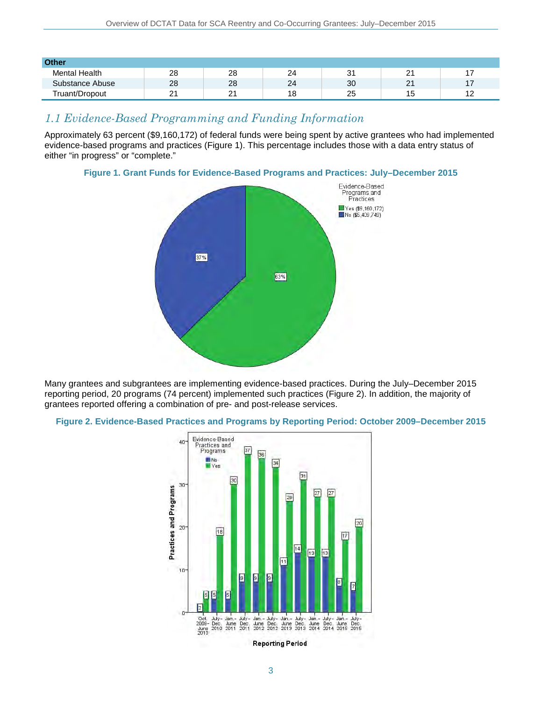| <b>Other</b>         |                           |                    |     |     |                |                |
|----------------------|---------------------------|--------------------|-----|-----|----------------|----------------|
| <b>Mental Health</b> | 28                        | 28                 | 24  | ا ب | ິ<br><u>_</u>  |                |
| Substance Abuse      | 28                        | 28                 | 24  | 30  | 24<br><u>.</u> | $\overline{a}$ |
| Truant/Dropout       | $\mathcal{L}$<br><u>.</u> | $\sim$<br><u>_</u> | 1 O | 25  | Ιċ             |                |

### *1.1 Evidence-Based Programming and Funding Information*

Approximately 63 percent (\$9,160,172) of federal funds were being spent by active grantees who had implemented evidence-based programs and practices (Figure 1). This percentage includes those with a data entry status of either "in progress" or "complete."

#### **Figure 1. Grant Funds for Evidence-Based Programs and Practices: July–December 2015**



Many grantees and subgrantees are implementing evidence-based practices. During the July–December 2015 reporting period, 20 programs (74 percent) implemented such practices (Figure 2). In addition, the majority of grantees reported offering a combination of pre- and post-release services.

#### **Figure 2. Evidence-Based Practices and Programs by Reporting Period: October 2009–December 2015**

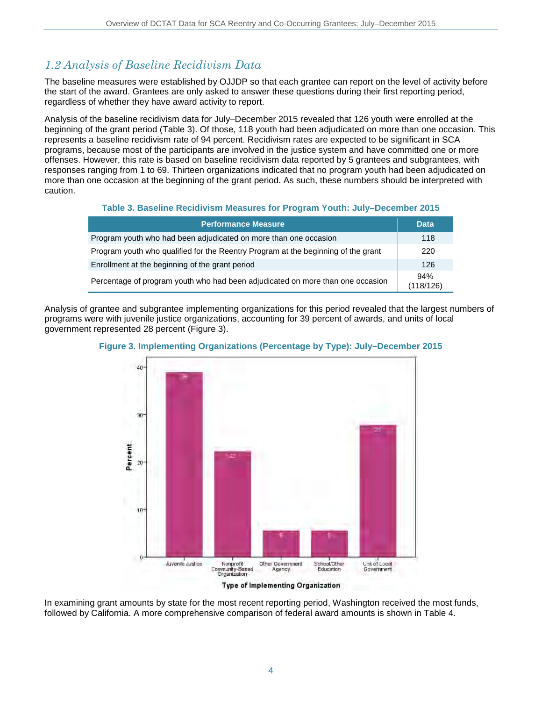## *1.2 Analysis of Baseline Recidivism Data*

The baseline measures were established by OJJDP so that each grantee can report on the level of activity before the start of the award. Grantees are only asked to answer these questions during their first reporting period, regardless of whether they have award activity to report.

Analysis of the baseline recidivism data for July–December 2015 revealed that 126 youth were enrolled at the beginning of the grant period (Table 3). Of those, 118 youth had been adjudicated on more than one occasion. This represents a baseline recidivism rate of 94 percent. Recidivism rates are expected to be significant in SCA programs, because most of the participants are involved in the justice system and have committed one or more offenses. However, this rate is based on baseline recidivism data reported by 5 grantees and subgrantees, with responses ranging from 1 to 69. Thirteen organizations indicated that no program youth had been adjudicated on more than one occasion at the beginning of the grant period. As such, these numbers should be interpreted with caution.

#### **Table 3. Baseline Recidivism Measures for Program Youth: July–December 2015**

| <b>Performance Measure</b>                                                        | <b>Data</b>      |
|-----------------------------------------------------------------------------------|------------------|
| Program youth who had been adjudicated on more than one occasion                  | 118              |
| Program youth who qualified for the Reentry Program at the beginning of the grant | 220              |
| Enrollment at the beginning of the grant period                                   | 126              |
| Percentage of program youth who had been adjudicated on more than one occasion    | 94%<br>(118/126) |

Analysis of grantee and subgrantee implementing organizations for this period revealed that the largest numbers of programs were with juvenile justice organizations, accounting for 39 percent of awards, and units of local government represented 28 percent (Figure 3).



#### **Figure 3. Implementing Organizations (Percentage by Type): July–December 2015**

In examining grant amounts by state for the most recent reporting period, Washington received the most funds, followed by California. A more comprehensive comparison of federal award amounts is shown in Table 4.

Type of Implementing Organization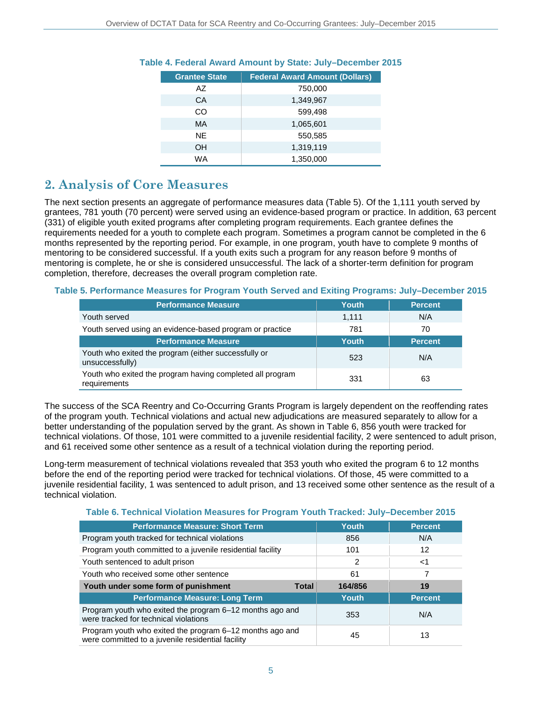| <b>Grantee State</b> | <b>Federal Award Amount (Dollars)</b> |
|----------------------|---------------------------------------|
| AZ.                  | 750,000                               |
| CA                   | 1,349,967                             |
| CO                   | 599,498                               |
| <b>MA</b>            | 1,065,601                             |
| <b>NF</b>            | 550,585                               |
| OH                   | 1,319,119                             |
| WA                   | 1,350,000                             |

#### **Table 4. Federal Award Amount by State: July–December 2015**

### **2. Analysis of Core Measures**

The next section presents an aggregate of performance measures data (Table 5). Of the 1,111 youth served by grantees, 781 youth (70 percent) were served using an evidence-based program or practice. In addition, 63 percent (331) of eligible youth exited programs after completing program requirements. Each grantee defines the requirements needed for a youth to complete each program. Sometimes a program cannot be completed in the 6 months represented by the reporting period. For example, in one program, youth have to complete 9 months of mentoring to be considered successful. If a youth exits such a program for any reason before 9 months of mentoring is complete, he or she is considered unsuccessful. The lack of a shorter-term definition for program completion, therefore, decreases the overall program completion rate.

#### **Table 5. Performance Measures for Program Youth Served and Exiting Programs: July–December 2015**

| <b>Performance Measure</b>                                                | Youth | <b>Percent</b> |
|---------------------------------------------------------------------------|-------|----------------|
| Youth served                                                              | 1.111 | N/A            |
| Youth served using an evidence-based program or practice                  | 781   | 70             |
| <b>Performance Measure</b>                                                | Youth | <b>Percent</b> |
| Youth who exited the program (either successfully or<br>unsuccessfully)   | 523   | N/A            |
| Youth who exited the program having completed all program<br>requirements | 331   | 63             |

The success of the SCA Reentry and Co-Occurring Grants Program is largely dependent on the reoffending rates of the program youth. Technical violations and actual new adjudications are measured separately to allow for a better understanding of the population served by the grant. As shown in Table 6, 856 youth were tracked for technical violations. Of those, 101 were committed to a juvenile residential facility, 2 were sentenced to adult prison, and 61 received some other sentence as a result of a technical violation during the reporting period.

Long-term measurement of technical violations revealed that 353 youth who exited the program 6 to 12 months before the end of the reporting period were tracked for technical violations. Of those, 45 were committed to a juvenile residential facility, 1 was sentenced to adult prison, and 13 received some other sentence as the result of a technical violation.

**Table 6. Technical Violation Measures for Program Youth Tracked: July–December 2015**

| <b>Performance Measure: Short Term</b>                                                                        | <b>Youth</b> | <b>Percent</b> |
|---------------------------------------------------------------------------------------------------------------|--------------|----------------|
| Program youth tracked for technical violations                                                                | 856          | N/A            |
| Program youth committed to a juvenile residential facility                                                    | 101          | 12             |
| Youth sentenced to adult prison                                                                               | 2            | $<$ 1          |
| Youth who received some other sentence                                                                        | 61           | 7              |
| Youth under some form of punishment<br><b>Total</b>                                                           | 164/856      | 19             |
| <b>Performance Measure: Long Term</b>                                                                         | <b>Youth</b> | <b>Percent</b> |
| Program youth who exited the program 6–12 months ago and<br>were tracked for technical violations             | 353          | N/A            |
| Program youth who exited the program 6–12 months ago and<br>were committed to a juvenile residential facility | 45           | 13             |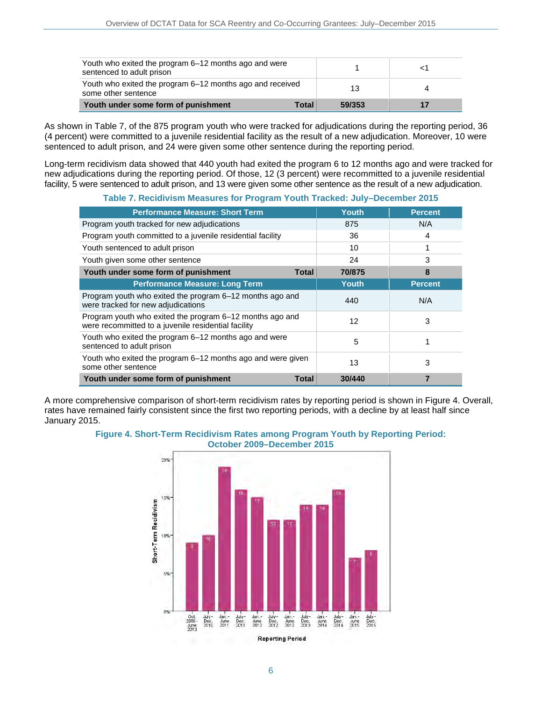| Youth who exited the program 6-12 months ago and were<br>sentenced to adult prison |        |  |
|------------------------------------------------------------------------------------|--------|--|
| Youth who exited the program 6–12 months ago and received<br>some other sentence   | 13     |  |
| Total<br>Youth under some form of punishment                                       | 59/353 |  |

As shown in Table 7, of the 875 program youth who were tracked for adjudications during the reporting period, 36 (4 percent) were committed to a juvenile residential facility as the result of a new adjudication. Moreover, 10 were sentenced to adult prison, and 24 were given some other sentence during the reporting period.

Long-term recidivism data showed that 440 youth had exited the program 6 to 12 months ago and were tracked for new adjudications during the reporting period. Of those, 12 (3 percent) were recommitted to a juvenile residential facility, 5 were sentenced to adult prison, and 13 were given some other sentence as the result of a new adjudication.

**Table 7. Recidivism Measures for Program Youth Tracked: July–December 2015**

| <b>Performance Measure: Short Term</b>                                                                          | Youth  | <b>Percent</b> |
|-----------------------------------------------------------------------------------------------------------------|--------|----------------|
| Program youth tracked for new adjudications                                                                     | 875    | N/A            |
| Program youth committed to a juvenile residential facility                                                      | 36     | 4              |
| Youth sentenced to adult prison                                                                                 | 10     |                |
| Youth given some other sentence                                                                                 | 24     | 3              |
| Youth under some form of punishment<br>Total                                                                    | 70/875 | 8              |
| <b>Performance Measure: Long Term</b>                                                                           | Youth  | <b>Percent</b> |
| Program youth who exited the program 6–12 months ago and<br>were tracked for new adjudications                  | 440    | N/A            |
| Program youth who exited the program 6–12 months ago and<br>were recommitted to a juvenile residential facility | 12     | 3              |
| Youth who exited the program 6–12 months ago and were<br>sentenced to adult prison                              | 5      |                |
| Youth who exited the program 6–12 months ago and were given<br>some other sentence                              | 13     | 3              |
| Youth under some form of punishment<br>Total                                                                    | 30/440 |                |

A more comprehensive comparison of short-term recidivism rates by reporting period is shown in Figure 4. Overall, rates have remained fairly consistent since the first two reporting periods, with a decline by at least half since January 2015.

**Figure 4. Short-Term Recidivism Rates among Program Youth by Reporting Period: October 2009–December 2015**

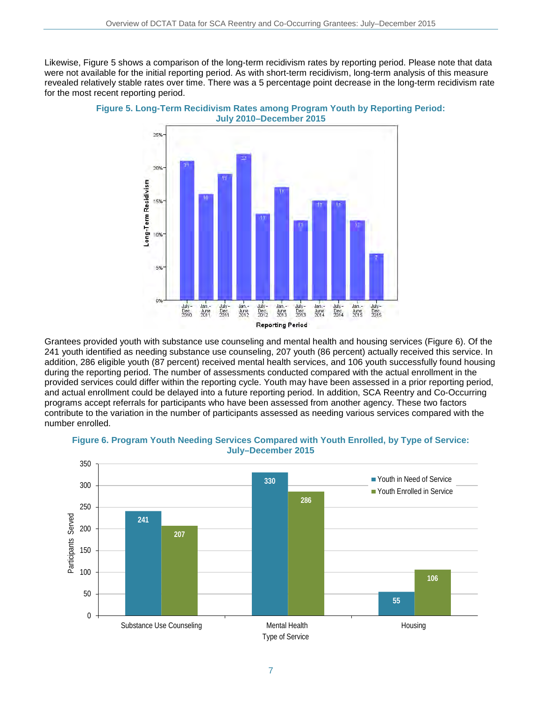Likewise, Figure 5 shows a comparison of the long-term recidivism rates by reporting period. Please note that data were not available for the initial reporting period. As with short-term recidivism, long-term analysis of this measure revealed relatively stable rates over time. There was a 5 percentage point decrease in the long-term recidivism rate for the most recent reporting period.



**Figure 5. Long-Term Recidivism Rates among Program Youth by Reporting Period: July 2010–December 2015**

Grantees provided youth with substance use counseling and mental health and housing services (Figure 6). Of the 241 youth identified as needing substance use counseling, 207 youth (86 percent) actually received this service. In addition, 286 eligible youth (87 percent) received mental health services, and 106 youth successfully found housing during the reporting period. The number of assessments conducted compared with the actual enrollment in the provided services could differ within the reporting cycle. Youth may have been assessed in a prior reporting period, and actual enrollment could be delayed into a future reporting period. In addition, SCA Reentry and Co-Occurring programs accept referrals for participants who have been assessed from another agency. These two factors contribute to the variation in the number of participants assessed as needing various services compared with the number enrolled.



#### **Figure 6. Program Youth Needing Services Compared with Youth Enrolled, by Type of Service: July–December 2015**